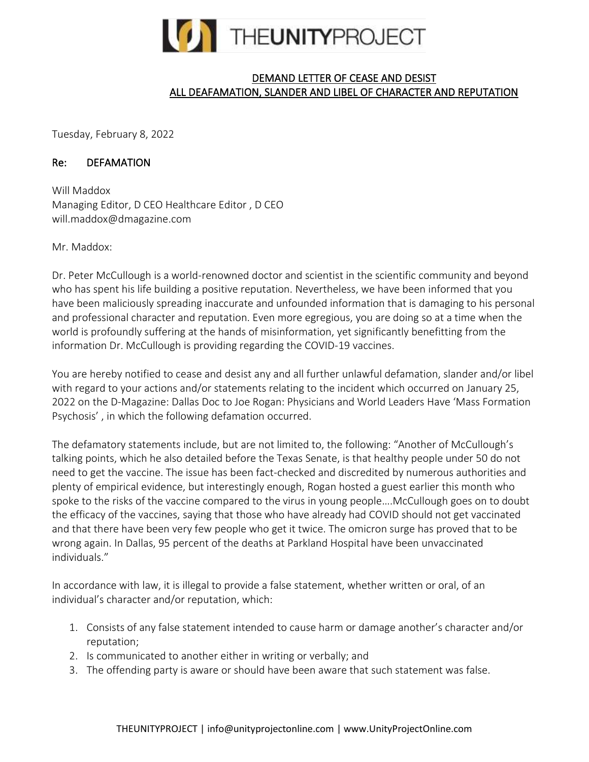

## DEMAND LETTER OF CEASE AND DESIST ALL DEAFAMATION, SLANDER AND LIBEL OF CHARACTER AND REPUTATION

Tuesday, February 8, 2022

## Re: DEFAMATION

Will Maddox Managing Editor, D CEO Healthcare Editor , D CEO will.maddox@dmagazine.com

Mr. Maddox:

Dr. Peter McCullough is a world-renowned doctor and scientist in the scientific community and beyond who has spent his life building a positive reputation. Nevertheless, we have been informed that you have been maliciously spreading inaccurate and unfounded information that is damaging to his personal and professional character and reputation. Even more egregious, you are doing so at a time when the world is profoundly suffering at the hands of misinformation, yet significantly benefitting from the information Dr. McCullough is providing regarding the COVID-19 vaccines.

You are hereby notified to cease and desist any and all further unlawful defamation, slander and/or libel with regard to your actions and/or statements relating to the incident which occurred on January 25, 2022 on the D-Magazine: Dallas Doc to Joe Rogan: Physicians and World Leaders Have 'Mass Formation Psychosis' , in which the following defamation occurred.

The defamatory statements include, but are not limited to, the following: "Another of McCullough's talking points, which he also detailed before the Texas Senate, is that healthy people under 50 do not need to get the vaccine. The issue has been fact-checked and discredited by numerous authorities and plenty of empirical evidence, but interestingly enough, Rogan hosted a guest earlier this month who spoke to the risks of the vaccine compared to the virus in young people….McCullough goes on to doubt the efficacy of the vaccines, saying that those who have already had COVID should not get vaccinated and that there have been very few people who get it twice. The omicron surge has proved that to be wrong again. In Dallas, 95 percent of the deaths at Parkland Hospital have been unvaccinated individuals."

In accordance with law, it is illegal to provide a false statement, whether written or oral, of an individual's character and/or reputation, which:

- 1. Consists of any false statement intended to cause harm or damage another's character and/or reputation;
- 2. Is communicated to another either in writing or verbally; and
- 3. The offending party is aware or should have been aware that such statement was false.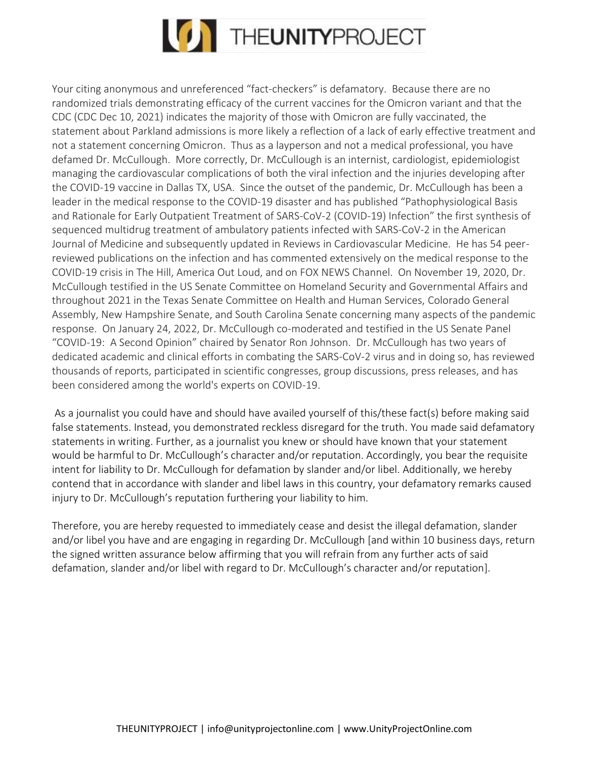

Your citing anonymous and unreferenced "fact-checkers" is defamatory. Because there are no randomized trials demonstrating efficacy of the current vaccines for the Omicron variant and that the CDC (CDC Dec 10, 2021) indicates the majority of those with Omicron are fully vaccinated, the statement about Parkland admissions is more likely a reflection of a lack of early effective treatment and not a statement concerning Omicron. Thus as a layperson and not a medical professional, you have defamed Dr. McCullough. More correctly, Dr. McCullough is an internist, cardiologist, epidemiologist managing the cardiovascular complications of both the viral infection and the injuries developing after the COVID-19 vaccine in Dallas TX, USA. Since the outset of the pandemic, Dr. McCullough has been a leader in the medical response to the COVID-19 disaster and has published "Pathophysiological Basis and Rationale for Early Outpatient Treatment of SARS-CoV-2 (COVID-19) Infection" the first synthesis of sequenced multidrug treatment of ambulatory patients infected with SARS-CoV-2 in the American Journal of Medicine and subsequently updated in Reviews in Cardiovascular Medicine. He has 54 peerreviewed publications on the infection and has commented extensively on the medical response to the COVID-19 crisis in The Hill, America Out Loud, and on FOX NEWS Channel. On November 19, 2020, Dr. McCullough testified in the US Senate Committee on Homeland Security and Governmental Affairs and throughout 2021 in the Texas Senate Committee on Health and Human Services, Colorado General Assembly, New Hampshire Senate, and South Carolina Senate concerning many aspects of the pandemic response. On January 24, 2022, Dr. McCullough co-moderated and testified in the US Senate Panel "COVID-19: A Second Opinion" chaired by Senator Ron Johnson. Dr. McCullough has two years of dedicated academic and clinical efforts in combating the SARS-CoV-2 virus and in doing so, has reviewed thousands of reports, participated in scientific congresses, group discussions, press releases, and has been considered among the world's experts on COVID-19.

As a journalist you could have and should have availed yourself of this/these fact(s) before making said false statements. Instead, you demonstrated reckless disregard for the truth. You made said defamatory statements in writing. Further, as a journalist you knew or should have known that your statement would be harmful to Dr. McCullough's character and/or reputation. Accordingly, you bear the requisite intent for liability to Dr. McCullough for defamation by slander and/or libel. Additionally, we hereby contend that in accordance with slander and libel laws in this country, your defamatory remarks caused injury to Dr. McCullough's reputation furthering your liability to him.

Therefore, you are hereby requested to immediately cease and desist the illegal defamation, slander and/or libel you have and are engaging in regarding Dr. McCullough [and within 10 business days, return the signed written assurance below affirming that you will refrain from any further acts of said defamation, slander and/or libel with regard to Dr. McCullough's character and/or reputation].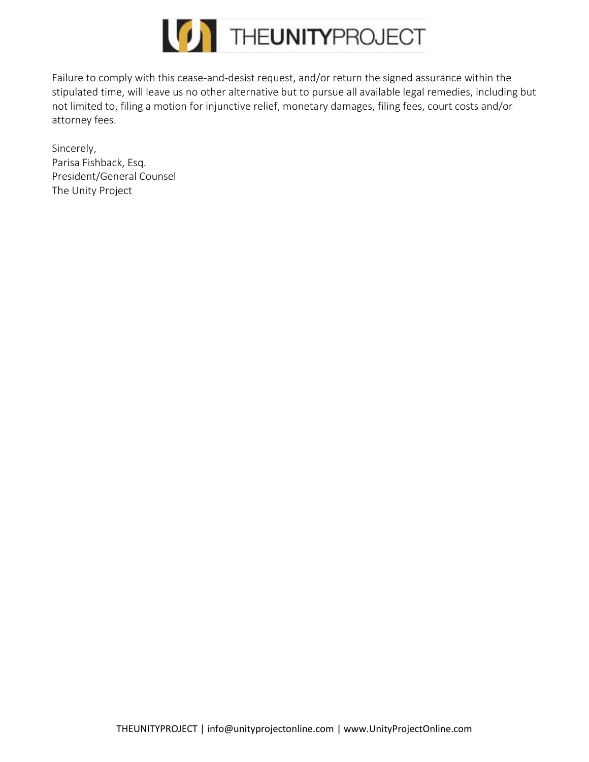

Failure to comply with this cease-and-desist request, and/or return the signed assurance within the stipulated time, will leave us no other alternative but to pursue all available legal remedies, including but not limited to, filing a motion for injunctive relief, monetary damages, filing fees, court costs and/or attorney fees.

Sincerely, Parisa Fishback, Esq. President/General Counsel The Unity Project